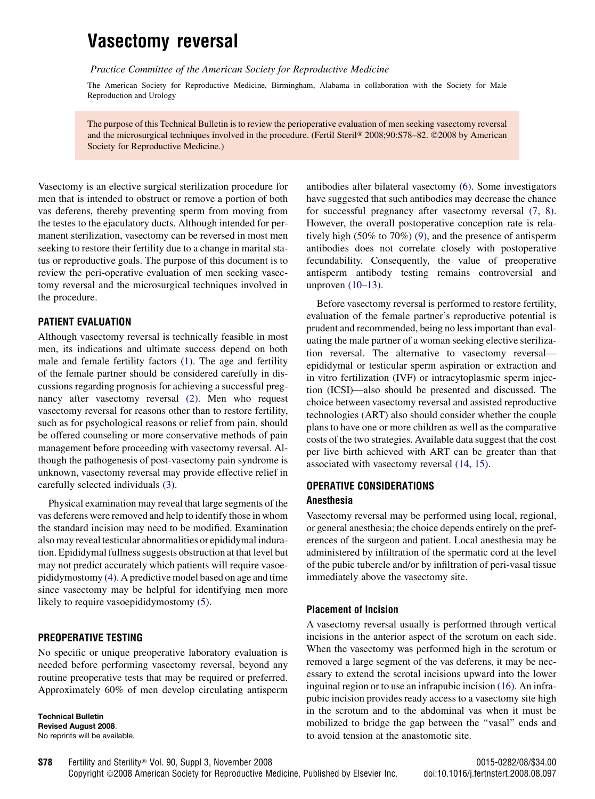# Vasectomy reversal

Practice Committee of the American Society for Reproductive Medicine

The American Society for Reproductive Medicine, Birmingham, Alabama in collaboration with the Society for Male Reproduction and Urology

The purpose of this Technical Bulletin is to review the perioperative evaluation of men seeking vasectomy reversal and the microsurgical techniques involved in the procedure. (Fertil Steril® 2008;90:S78–82. ©2008 by American Society for Reproductive Medicine.)

Vasectomy is an elective surgical sterilization procedure for men that is intended to obstruct or remove a portion of both vas deferens, thereby preventing sperm from moving from the testes to the ejaculatory ducts. Although intended for permanent sterilization, vasectomy can be reversed in most men seeking to restore their fertility due to a change in marital status or reproductive goals. The purpose of this document is to review the peri-operative evaluation of men seeking vasectomy reversal and the microsurgical techniques involved in the procedure.

#### PATIENT EVALUATION

Although vasectomy reversal is technically feasible in most men, its indications and ultimate success depend on both male and female fertility factors [\(1\).](#page-4-0) The age and fertility of the female partner should be considered carefully in discussions regarding prognosis for achieving a successful pregnancy after vasectomy reversal [\(2\).](#page-4-0) Men who request vasectomy reversal for reasons other than to restore fertility, such as for psychological reasons or relief from pain, should be offered counseling or more conservative methods of pain management before proceeding with vasectomy reversal. Although the pathogenesis of post-vasectomy pain syndrome is unknown, vasectomy reversal may provide effective relief in carefully selected individuals [\(3\)](#page-4-0).

Physical examination may reveal that large segments of the vas deferens were removed and help to identify those in whom the standard incision may need to be modified. Examination also may reveal testicular abnormalities or epididymal induration. Epididymal fullness suggests obstruction at that level but may not predict accurately which patients will require vasoepididymostomy [\(4\).](#page-4-0) A predictive model based on age and time since vasectomy may be helpful for identifying men more likely to require vasoepididymostomy [\(5\).](#page-4-0)

## PREOPERATIVE TESTING

No specific or unique preoperative laboratory evaluation is needed before performing vasectomy reversal, beyond any routine preoperative tests that may be required or preferred. Approximately 60% of men develop circulating antisperm

Technical Bulletin Revised August 2008. No reprints will be available. antibodies after bilateral vasectomy [\(6\).](#page-4-0) Some investigators have suggested that such antibodies may decrease the chance for successful pregnancy after vasectomy reversal [\(7, 8\)](#page-4-0). However, the overall postoperative conception rate is relatively high (50% to 70%) [\(9\)](#page-4-0), and the presence of antisperm antibodies does not correlate closely with postoperative fecundability. Consequently, the value of preoperative antisperm antibody testing remains controversial and unproven [\(10–13\).](#page-4-0)

Before vasectomy reversal is performed to restore fertility, evaluation of the female partner's reproductive potential is prudent and recommended, being no less important than evaluating the male partner of a woman seeking elective sterilization reversal. The alternative to vasectomy reversal epididymal or testicular sperm aspiration or extraction and in vitro fertilization (IVF) or intracytoplasmic sperm injection (ICSI)—also should be presented and discussed. The choice between vasectomy reversal and assisted reproductive technologies (ART) also should consider whether the couple plans to have one or more children as well as the comparative costs of the two strategies. Available data suggest that the cost per live birth achieved with ART can be greater than that associated with vasectomy reversal [\(14, 15\).](#page-4-0)

## OPERATIVE CONSIDERATIONS

#### Anesthesia

Vasectomy reversal may be performed using local, regional, or general anesthesia; the choice depends entirely on the preferences of the surgeon and patient. Local anesthesia may be administered by infiltration of the spermatic cord at the level of the pubic tubercle and/or by infiltration of peri-vasal tissue immediately above the vasectomy site.

#### Placement of Incision

A vasectomy reversal usually is performed through vertical incisions in the anterior aspect of the scrotum on each side. When the vasectomy was performed high in the scrotum or removed a large segment of the vas deferens, it may be necessary to extend the scrotal incisions upward into the lower inguinal region or to use an infrapubic incision [\(16\)](#page-4-0). An infrapubic incision provides ready access to a vasectomy site high in the scrotum and to the abdominal vas when it must be mobilized to bridge the gap between the ''vasal'' ends and to avoid tension at the anastomotic site.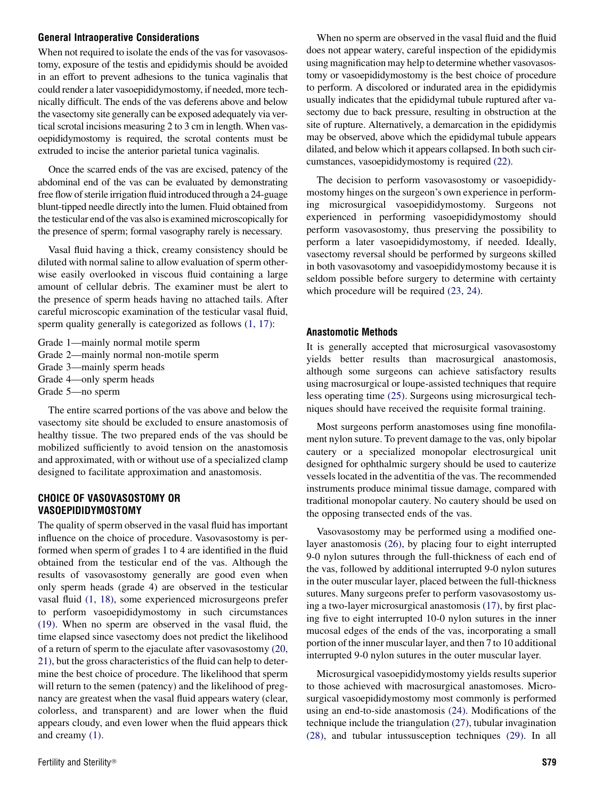#### General Intraoperative Considerations

When not required to isolate the ends of the vas for vasovasostomy, exposure of the testis and epididymis should be avoided in an effort to prevent adhesions to the tunica vaginalis that could render a later vasoepididymostomy, if needed, more technically difficult. The ends of the vas deferens above and below the vasectomy site generally can be exposed adequately via vertical scrotal incisions measuring 2 to 3 cm in length. When vasoepididymostomy is required, the scrotal contents must be extruded to incise the anterior parietal tunica vaginalis.

Once the scarred ends of the vas are excised, patency of the abdominal end of the vas can be evaluated by demonstrating free flow of sterile irrigation fluid introduced through a 24-guage blunt-tipped needle directly into the lumen. Fluid obtained from the testicular end of the vas also is examined microscopically for the presence of sperm; formal vasography rarely is necessary.

Vasal fluid having a thick, creamy consistency should be diluted with normal saline to allow evaluation of sperm otherwise easily overlooked in viscous fluid containing a large amount of cellular debris. The examiner must be alert to the presence of sperm heads having no attached tails. After careful microscopic examination of the testicular vasal fluid, sperm quality generally is categorized as follows [\(1, 17\):](#page-4-0)

Grade 1—mainly normal motile sperm Grade 2—mainly normal non-motile sperm Grade 3—mainly sperm heads Grade 4—only sperm heads Grade 5—no sperm

The entire scarred portions of the vas above and below the vasectomy site should be excluded to ensure anastomosis of healthy tissue. The two prepared ends of the vas should be mobilized sufficiently to avoid tension on the anastomosis and approximated, with or without use of a specialized clamp designed to facilitate approximation and anastomosis.

## CHOICE OF VASOVASOSTOMY OR VASOEPIDIDYMOSTOMY

The quality of sperm observed in the vasal fluid has important influence on the choice of procedure. Vasovasostomy is performed when sperm of grades 1 to 4 are identified in the fluid obtained from the testicular end of the vas. Although the results of vasovasostomy generally are good even when only sperm heads (grade 4) are observed in the testicular vasal fluid [\(1, 18\)](#page-4-0), some experienced microsurgeons prefer to perform vasoepididymostomy in such circumstances [\(19\).](#page-4-0) When no sperm are observed in the vasal fluid, the time elapsed since vasectomy does not predict the likelihood of a return of sperm to the ejaculate after vasovasostomy [\(20,](#page-4-0) [21\)](#page-4-0), but the gross characteristics of the fluid can help to determine the best choice of procedure. The likelihood that sperm will return to the semen (patency) and the likelihood of pregnancy are greatest when the vasal fluid appears watery (clear, colorless, and transparent) and are lower when the fluid appears cloudy, and even lower when the fluid appears thick and creamy [\(1\)](#page-4-0).

When no sperm are observed in the vasal fluid and the fluid does not appear watery, careful inspection of the epididymis using magnification may help to determine whether vasovasostomy or vasoepididymostomy is the best choice of procedure to perform. A discolored or indurated area in the epididymis usually indicates that the epididymal tubule ruptured after vasectomy due to back pressure, resulting in obstruction at the site of rupture. Alternatively, a demarcation in the epididymis may be observed, above which the epididymal tubule appears dilated, and below which it appears collapsed. In both such circumstances, vasoepididymostomy is required [\(22\)](#page-4-0).

The decision to perform vasovasostomy or vasoepididymostomy hinges on the surgeon's own experience in performing microsurgical vasoepididymostomy. Surgeons not experienced in performing vasoepididymostomy should perform vasovasostomy, thus preserving the possibility to perform a later vasoepididymostomy, if needed. Ideally, vasectomy reversal should be performed by surgeons skilled in both vasovasotomy and vasoepididymostomy because it is seldom possible before surgery to determine with certainty which procedure will be required [\(23, 24\)](#page-4-0).

#### Anastomotic Methods

It is generally accepted that microsurgical vasovasostomy yields better results than macrosurgical anastomosis, although some surgeons can achieve satisfactory results using macrosurgical or loupe-assisted techniques that require less operating time [\(25\)](#page-4-0). Surgeons using microsurgical techniques should have received the requisite formal training.

Most surgeons perform anastomoses using fine monofilament nylon suture. To prevent damage to the vas, only bipolar cautery or a specialized monopolar electrosurgical unit designed for ophthalmic surgery should be used to cauterize vessels located in the adventitia of the vas. The recommended instruments produce minimal tissue damage, compared with traditional monopolar cautery. No cautery should be used on the opposing transected ends of the vas.

Vasovasostomy may be performed using a modified onelayer anastomosis [\(26\)](#page-4-0), by placing four to eight interrupted 9-0 nylon sutures through the full-thickness of each end of the vas, followed by additional interrupted 9-0 nylon sutures in the outer muscular layer, placed between the full-thickness sutures. Many surgeons prefer to perform vasovasostomy using a two-layer microsurgical anastomosis [\(17\)](#page-4-0), by first placing five to eight interrupted 10-0 nylon sutures in the inner mucosal edges of the ends of the vas, incorporating a small portion of the inner muscular layer, and then 7 to 10 additional interrupted 9-0 nylon sutures in the outer muscular layer.

Microsurgical vasoepididymostomy yields results superior to those achieved with macrosurgical anastomoses. Microsurgical vasoepididymostomy most commonly is performed using an end-to-side anastomosis [\(24\).](#page-4-0) Modifications of the technique include the triangulation [\(27\)](#page-4-0), tubular invagination [\(28\),](#page-4-0) and tubular intussusception techniques [\(29\)](#page-4-0). In all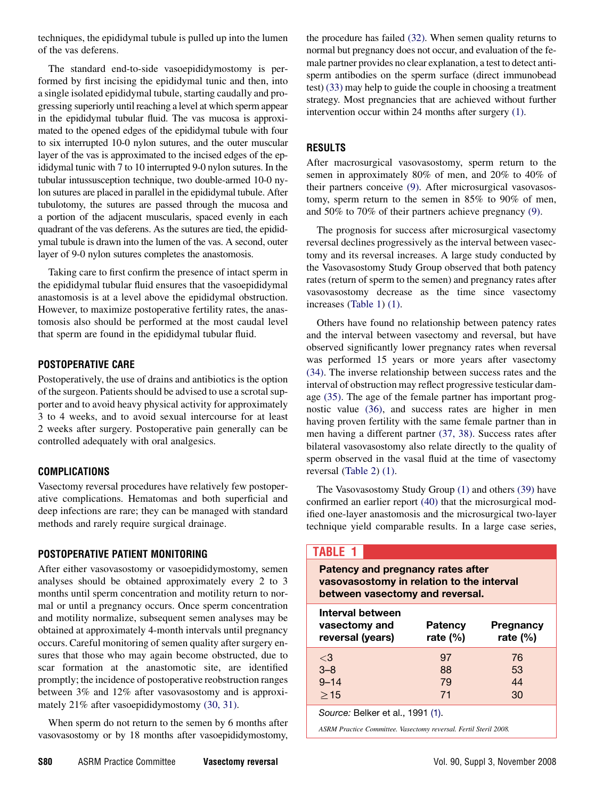techniques, the epididymal tubule is pulled up into the lumen of the vas deferens.

The standard end-to-side vasoepididymostomy is performed by first incising the epididymal tunic and then, into a single isolated epididymal tubule, starting caudally and progressing superiorly until reaching a level at which sperm appear in the epididymal tubular fluid. The vas mucosa is approximated to the opened edges of the epididymal tubule with four to six interrupted 10-0 nylon sutures, and the outer muscular layer of the vas is approximated to the incised edges of the epididymal tunic with 7 to 10 interrupted 9-0 nylon sutures. In the tubular intussusception technique, two double-armed 10-0 nylon sutures are placed in parallel in the epididymal tubule. After tubulotomy, the sutures are passed through the mucosa and a portion of the adjacent muscularis, spaced evenly in each quadrant of the vas deferens. As the sutures are tied, the epididymal tubule is drawn into the lumen of the vas. A second, outer layer of 9-0 nylon sutures completes the anastomosis.

Taking care to first confirm the presence of intact sperm in the epididymal tubular fluid ensures that the vasoepididymal anastomosis is at a level above the epididymal obstruction. However, to maximize postoperative fertility rates, the anastomosis also should be performed at the most caudal level that sperm are found in the epididymal tubular fluid.

## POSTOPERATIVE CARE

Postoperatively, the use of drains and antibiotics is the option of the surgeon. Patients should be advised to use a scrotal supporter and to avoid heavy physical activity for approximately 3 to 4 weeks, and to avoid sexual intercourse for at least 2 weeks after surgery. Postoperative pain generally can be controlled adequately with oral analgesics.

# COMPLICATIONS

Vasectomy reversal procedures have relatively few postoperative complications. Hematomas and both superficial and deep infections are rare; they can be managed with standard methods and rarely require surgical drainage.

# POSTOPERATIVE PATIENT MONITORING

After either vasovasostomy or vasoepididymostomy, semen analyses should be obtained approximately every 2 to 3 months until sperm concentration and motility return to normal or until a pregnancy occurs. Once sperm concentration and motility normalize, subsequent semen analyses may be obtained at approximately 4-month intervals until pregnancy occurs. Careful monitoring of semen quality after surgery ensures that those who may again become obstructed, due to scar formation at the anastomotic site, are identified promptly; the incidence of postoperative reobstruction ranges between 3% and 12% after vasovasostomy and is approximately 21% after vasoepididymostomy [\(30, 31\)](#page-4-0).

When sperm do not return to the semen by 6 months after vasovasostomy or by 18 months after vasoepididymostomy,

the procedure has failed [\(32\)](#page-4-0). When semen quality returns to normal but pregnancy does not occur, and evaluation of the female partner provides no clear explanation, a test to detect antisperm antibodies on the sperm surface (direct immunobead test) [\(33\)](#page-4-0) may help to guide the couple in choosing a treatment strategy. Most pregnancies that are achieved without further intervention occur within 24 months after surgery [\(1\)](#page-4-0).

# RESULTS

After macrosurgical vasovasostomy, sperm return to the semen in approximately 80% of men, and 20% to 40% of their partners conceive [\(9\).](#page-4-0) After microsurgical vasovasostomy, sperm return to the semen in 85% to 90% of men, and 50% to 70% of their partners achieve pregnancy [\(9\)](#page-4-0).

The prognosis for success after microsurgical vasectomy reversal declines progressively as the interval between vasectomy and its reversal increases. A large study conducted by the Vasovasostomy Study Group observed that both patency rates (return of sperm to the semen) and pregnancy rates after vasovasostomy decrease as the time since vasectomy increases (Table 1) [\(1\)](#page-4-0).

Others have found no relationship between patency rates and the interval between vasectomy and reversal, but have observed significantly lower pregnancy rates when reversal was performed 15 years or more years after vasectomy [\(34\).](#page-4-0) The inverse relationship between success rates and the interval of obstruction may reflect progressive testicular damage [\(35\)](#page-4-0). The age of the female partner has important prognostic value [\(36\)](#page-4-0), and success rates are higher in men having proven fertility with the same female partner than in men having a different partner [\(37, 38\).](#page-4-0) Success rates after bilateral vasovasostomy also relate directly to the quality of sperm observed in the vasal fluid at the time of vasectomy reversal [\(Table 2](#page-3-0)) [\(1\)](#page-4-0).

The Vasovasostomy Study Group [\(1\)](#page-4-0) and others [\(39\)](#page-4-0) have confirmed an earlier report [\(40\)](#page-4-0) that the microsurgical modified one-layer anastomosis and the microsurgical two-layer technique yield comparable results. In a large case series,

# TABLE 1

| Patency and pregnancy rates after<br>vasovasostomy in relation to the interval<br>between vasectomy and reversal. |                               |                          |  |
|-------------------------------------------------------------------------------------------------------------------|-------------------------------|--------------------------|--|
| Interval between<br>vasectomy and<br>reversal (years)                                                             | <b>Patency</b><br>rate $(\%)$ | Pregnancy<br>rate $(\%)$ |  |
| $\langle 3$                                                                                                       | 97                            | 76                       |  |
| $3 - 8$                                                                                                           | 88                            | 53                       |  |
| $9 - 14$                                                                                                          | 79                            | 44                       |  |
| >15                                                                                                               | 71                            | 30                       |  |
| Source: Belker et al., 1991 (1).                                                                                  |                               |                          |  |

ASRM Practice Committee. Vasectomy reversal. Fertil Steril 2008.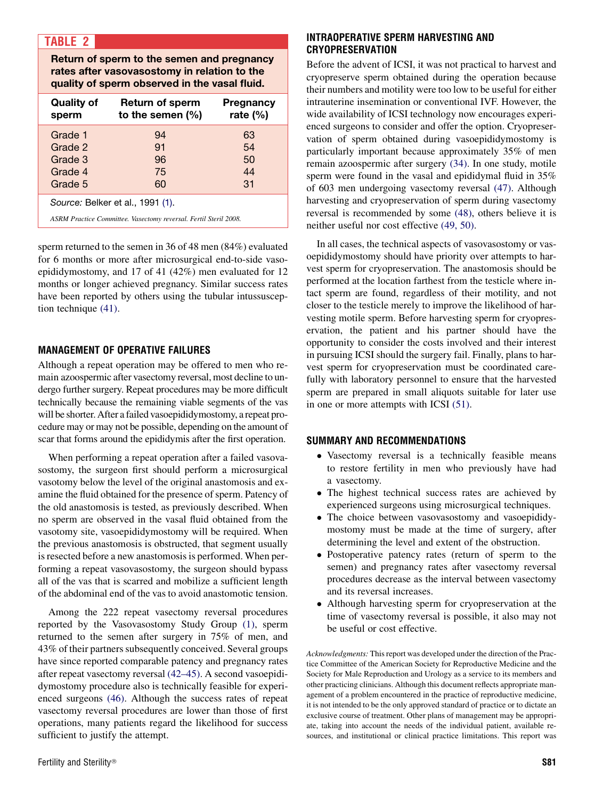# <span id="page-3-0"></span>TABLE 2

Return of sperm to the semen and pregnancy rates after vasovasostomy in relation to the quality of sperm observed in the vasal fluid.

| <b>Quality of</b><br>sperm                                       | <b>Return of sperm</b><br>to the semen $(\%)$ | Pregnancy<br>rate $(\%)$ |  |
|------------------------------------------------------------------|-----------------------------------------------|--------------------------|--|
| Grade 1                                                          | 94                                            | 63                       |  |
| Grade 2                                                          | 91                                            | 54                       |  |
| Grade 3                                                          | 96                                            | 50                       |  |
| Grade 4                                                          | 75                                            | 44                       |  |
| Grade 5                                                          | 60                                            | 31                       |  |
| Source: Belker et al., 1991 (1).                                 |                                               |                          |  |
| ASRM Practice Committee. Vasectomy reversal. Fertil Steril 2008. |                                               |                          |  |

sperm returned to the semen in 36 of 48 men (84%) evaluated for 6 months or more after microsurgical end-to-side vasoepididymostomy, and 17 of 41 (42%) men evaluated for 12 months or longer achieved pregnancy. Similar success rates have been reported by others using the tubular intussusception technique [\(41\).](#page-4-0)

#### MANAGEMENT OF OPERATIVE FAILURES

Although a repeat operation may be offered to men who remain azoospermic after vasectomy reversal, most decline to undergo further surgery. Repeat procedures may be more difficult technically because the remaining viable segments of the vas will be shorter. After a failed vasoepididymostomy, a repeat procedure may or may not be possible, depending on the amount of scar that forms around the epididymis after the first operation.

When performing a repeat operation after a failed vasovasostomy, the surgeon first should perform a microsurgical vasotomy below the level of the original anastomosis and examine the fluid obtained for the presence of sperm. Patency of the old anastomosis is tested, as previously described. When no sperm are observed in the vasal fluid obtained from the vasotomy site, vasoepididymostomy will be required. When the previous anastomosis is obstructed, that segment usually is resected before a new anastomosis is performed. When performing a repeat vasovasostomy, the surgeon should bypass all of the vas that is scarred and mobilize a sufficient length of the abdominal end of the vas to avoid anastomotic tension.

Among the 222 repeat vasectomy reversal procedures reported by the Vasovasostomy Study Group [\(1\),](#page-4-0) sperm returned to the semen after surgery in 75% of men, and 43% of their partners subsequently conceived. Several groups have since reported comparable patency and pregnancy rates after repeat vasectomy reversal [\(42–45\).](#page-4-0) A second vasoepididymostomy procedure also is technically feasible for experienced surgeons [\(46\)](#page-4-0). Although the success rates of repeat vasectomy reversal procedures are lower than those of first operations, many patients regard the likelihood for success sufficient to justify the attempt.

Before the advent of ICSI, it was not practical to harvest and cryopreserve sperm obtained during the operation because their numbers and motility were too low to be useful for either intrauterine insemination or conventional IVF. However, the wide availability of ICSI technology now encourages experienced surgeons to consider and offer the option. Cryopreservation of sperm obtained during vasoepididymostomy is particularly important because approximately 35% of men remain azoospermic after surgery [\(34\)](#page-4-0). In one study, motile sperm were found in the vasal and epididymal fluid in 35% of 603 men undergoing vasectomy reversal [\(47\)](#page-4-0). Although harvesting and cryopreservation of sperm during vasectomy reversal is recommended by some [\(48\)](#page-4-0), others believe it is neither useful nor cost effective [\(49, 50\)](#page-4-0).

In all cases, the technical aspects of vasovasostomy or vasoepididymostomy should have priority over attempts to harvest sperm for cryopreservation. The anastomosis should be performed at the location farthest from the testicle where intact sperm are found, regardless of their motility, and not closer to the testicle merely to improve the likelihood of harvesting motile sperm. Before harvesting sperm for cryopreservation, the patient and his partner should have the opportunity to consider the costs involved and their interest in pursuing ICSI should the surgery fail. Finally, plans to harvest sperm for cryopreservation must be coordinated carefully with laboratory personnel to ensure that the harvested sperm are prepared in small aliquots suitable for later use in one or more attempts with ICSI [\(51\).](#page-4-0)

#### SUMMARY AND RECOMMENDATIONS

- Vasectomy reversal is a technically feasible means to restore fertility in men who previously have had a vasectomy.
- The highest technical success rates are achieved by experienced surgeons using microsurgical techniques.
- The choice between vasovasostomy and vasoepididymostomy must be made at the time of surgery, after determining the level and extent of the obstruction.
- Postoperative patency rates (return of sperm to the semen) and pregnancy rates after vasectomy reversal procedures decrease as the interval between vasectomy and its reversal increases.
- Although harvesting sperm for cryopreservation at the time of vasectomy reversal is possible, it also may not be useful or cost effective.

Acknowledgments: This report was developed under the direction of the Practice Committee of the American Society for Reproductive Medicine and the Society for Male Reproduction and Urology as a service to its members and other practicing clinicians. Although this document reflects appropriate management of a problem encountered in the practice of reproductive medicine, it is not intended to be the only approved standard of practice or to dictate an exclusive course of treatment. Other plans of management may be appropriate, taking into account the needs of the individual patient, available resources, and institutional or clinical practice limitations. This report was